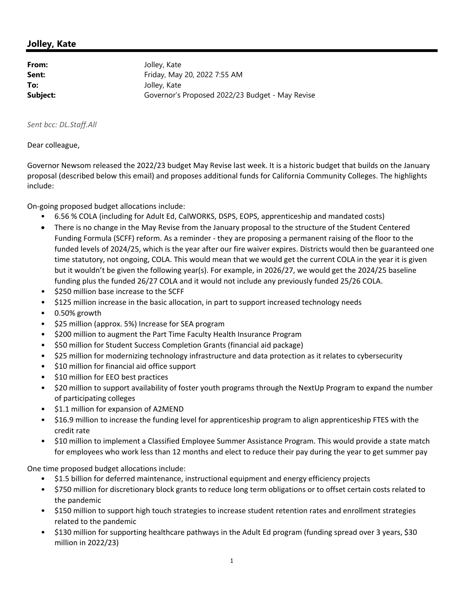# **Jolley, Kate**

**From:** Jolley, Kate **Sent:** Friday, May 20, 2022 7:55 AM **To:** Jolley, Kate **Subject:** Governor's Proposed 2022/23 Budget - May Revise

# *Sent bcc: DL.Staff.All*

### Dear colleague,

Governor Newsom released the 2022/23 budget May Revise last week. It is a historic budget that builds on the January proposal (described below this email) and proposes additional funds for California Community Colleges. The highlights include:

On‐going proposed budget allocations include:

- 6.56 % COLA (including for Adult Ed, CalWORKS, DSPS, EOPS, apprenticeship and mandated costs)
- There is no change in the May Revise from the January proposal to the structure of the Student Centered Funding Formula (SCFF) reform. As a reminder ‐ they are proposing a permanent raising of the floor to the funded levels of 2024/25, which is the year after our fire waiver expires. Districts would then be guaranteed one time statutory, not ongoing, COLA. This would mean that we would get the current COLA in the year it is given but it wouldn't be given the following year(s). For example, in 2026/27, we would get the 2024/25 baseline funding plus the funded 26/27 COLA and it would not include any previously funded 25/26 COLA.
- \$250 million base increase to the SCFF
- \$125 million increase in the basic allocation, in part to support increased technology needs
- 0.50% growth
- \$25 million (approx. 5%) Increase for SEA program
- \$200 million to augment the Part Time Faculty Health Insurance Program
- \$50 million for Student Success Completion Grants (financial aid package)
- \$25 million for modernizing technology infrastructure and data protection as it relates to cybersecurity
- \$10 million for financial aid office support
- \$10 million for EEO best practices
- \$20 million to support availability of foster youth programs through the NextUp Program to expand the number of participating colleges
- \$1.1 million for expansion of A2MEND
- \$16.9 million to increase the funding level for apprenticeship program to align apprenticeship FTES with the credit rate
- \$10 million to implement a Classified Employee Summer Assistance Program. This would provide a state match for employees who work less than 12 months and elect to reduce their pay during the year to get summer pay

One time proposed budget allocations include:

- \$1.5 billion for deferred maintenance, instructional equipment and energy efficiency projects
- \$750 million for discretionary block grants to reduce long term obligations or to offset certain costs related to the pandemic
- \$150 million to support high touch strategies to increase student retention rates and enrollment strategies related to the pandemic
- \$130 million for supporting healthcare pathways in the Adult Ed program (funding spread over 3 years, \$30 million in 2022/23)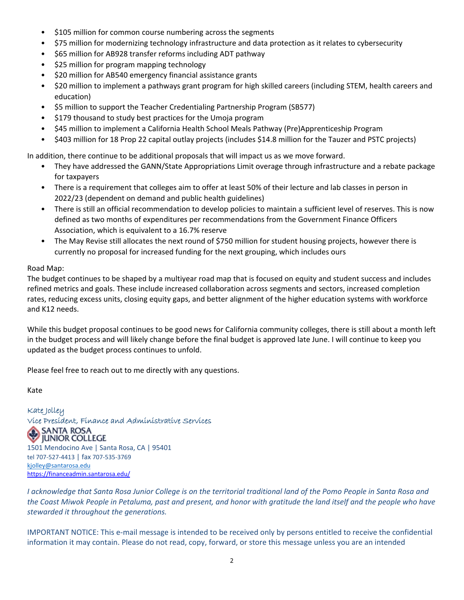- \$105 million for common course numbering across the segments
- \$75 million for modernizing technology infrastructure and data protection as it relates to cybersecurity
- \$65 million for AB928 transfer reforms including ADT pathway
- \$25 million for program mapping technology
- \$20 million for AB540 emergency financial assistance grants
- \$20 million to implement a pathways grant program for high skilled careers (including STEM, health careers and education)
- \$5 million to support the Teacher Credentialing Partnership Program (SB577)
- \$179 thousand to study best practices for the Umoja program
- \$45 million to implement a California Health School Meals Pathway (Pre)Apprenticeship Program
- \$403 million for 18 Prop 22 capital outlay projects (includes \$14.8 million for the Tauzer and PSTC projects)

In addition, there continue to be additional proposals that will impact us as we move forward.

- They have addressed the GANN/State Appropriations Limit overage through infrastructure and a rebate package for taxpayers
- There is a requirement that colleges aim to offer at least 50% of their lecture and lab classes in person in 2022/23 (dependent on demand and public health guidelines)
- There is still an official recommendation to develop policies to maintain a sufficient level of reserves. This is now defined as two months of expenditures per recommendations from the Government Finance Officers Association, which is equivalent to a 16.7% reserve
- The May Revise still allocates the next round of \$750 million for student housing projects, however there is currently no proposal for increased funding for the next grouping, which includes ours

### Road Map:

The budget continues to be shaped by a multiyear road map that is focused on equity and student success and includes refined metrics and goals. These include increased collaboration across segments and sectors, increased completion rates, reducing excess units, closing equity gaps, and better alignment of the higher education systems with workforce and K12 needs.

While this budget proposal continues to be good news for California community colleges, there is still about a month left in the budget process and will likely change before the final budget is approved late June. I will continue to keep you updated as the budget process continues to unfold.

Please feel free to reach out to me directly with any questions.

Kate

Kate Jolley Vice President, Finance and Administrative Services JUNIOR COLLEGE 1501 Mendocino Ave | Santa Rosa, CA | 95401 tel 707‐527‐4413 | fax 707‐535‐3769 kjolley@santarosa.edu https://financeadmin.santarosa.edu/

I acknowledge that Santa Rosa Junior College is on the territorial traditional land of the Pomo People in Santa Rosa and the Coast Miwok People in Petaluma, past and present, and honor with gratitude the land itself and the people who have *stewarded it throughout the generations.*

IMPORTANT NOTICE: This e‐mail message is intended to be received only by persons entitled to receive the confidential information it may contain. Please do not read, copy, forward, or store this message unless you are an intended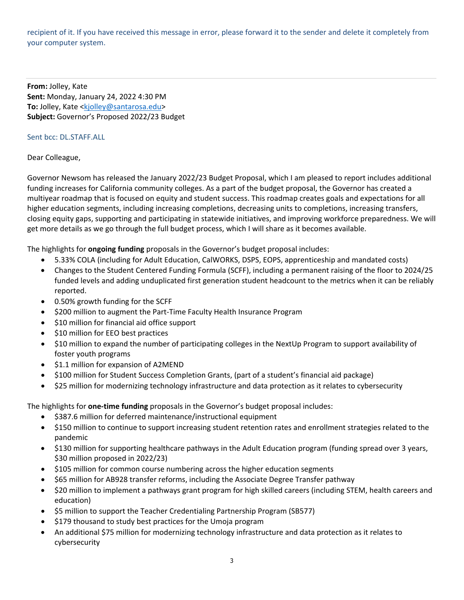recipient of it. If you have received this message in error, please forward it to the sender and delete it completely from your computer system.

**From:** Jolley, Kate **Sent:** Monday, January 24, 2022 4:30 PM **To:** Jolley, Kate <kjolley@santarosa.edu> **Subject:** Governor's Proposed 2022/23 Budget

### Sent bcc: DL.STAFF.ALL

# Dear Colleague,

Governor Newsom has released the January 2022/23 Budget Proposal, which I am pleased to report includes additional funding increases for California community colleges. As a part of the budget proposal, the Governor has created a multiyear roadmap that is focused on equity and student success. This roadmap creates goals and expectations for all higher education segments, including increasing completions, decreasing units to completions, increasing transfers, closing equity gaps, supporting and participating in statewide initiatives, and improving workforce preparedness. We will get more details as we go through the full budget process, which I will share as it becomes available.

The highlights for **ongoing funding** proposals in the Governor's budget proposal includes:

- 5.33% COLA (including for Adult Education, CalWORKS, DSPS, EOPS, apprenticeship and mandated costs)
- Changes to the Student Centered Funding Formula (SCFF), including a permanent raising of the floor to 2024/25 funded levels and adding unduplicated first generation student headcount to the metrics when it can be reliably reported.
- 0.50% growth funding for the SCFF
- \$200 million to augment the Part‐Time Faculty Health Insurance Program
- \$10 million for financial aid office support
- \$10 million for EEO best practices
- \$10 million to expand the number of participating colleges in the NextUp Program to support availability of foster youth programs
- $\bullet$  \$1.1 million for expansion of A2MEND
- \$100 million for Student Success Completion Grants, (part of a student's financial aid package)
- \$25 million for modernizing technology infrastructure and data protection as it relates to cybersecurity

The highlights for **one‐time funding** proposals in the Governor's budget proposal includes:

- \$387.6 million for deferred maintenance/instructional equipment
- \$150 million to continue to support increasing student retention rates and enrollment strategies related to the pandemic
- \$130 million for supporting healthcare pathways in the Adult Education program (funding spread over 3 years, \$30 million proposed in 2022/23)
- \$105 million for common course numbering across the higher education segments
- \$65 million for AB928 transfer reforms, including the Associate Degree Transfer pathway
- \$20 million to implement a pathways grant program for high skilled careers (including STEM, health careers and education)
- \$5 million to support the Teacher Credentialing Partnership Program (SB577)
- \$179 thousand to study best practices for the Umoja program
- An additional \$75 million for modernizing technology infrastructure and data protection as it relates to cybersecurity